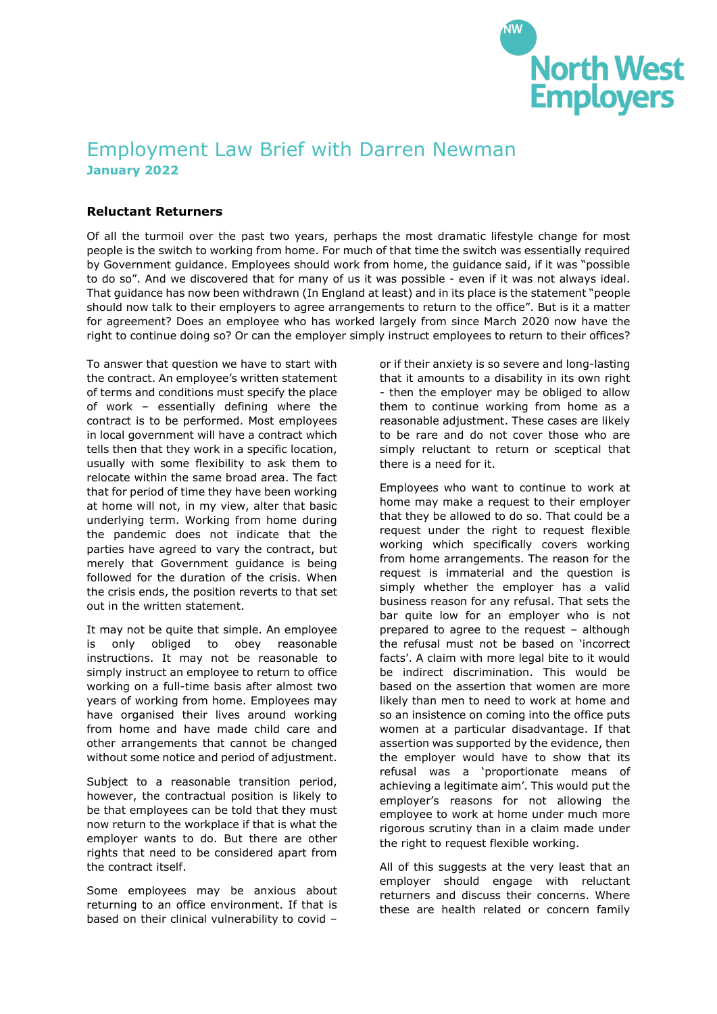

## Employment Law Brief with Darren Newman **January 2022**

## **Reluctant Returners**

Of all the turmoil over the past two years, perhaps the most dramatic lifestyle change for most people is the switch to working from home. For much of that time the switch was essentially required by Government guidance. Employees should work from home, the guidance said, if it was "possible to do so". And we discovered that for many of us it was possible - even if it was not always ideal. That guidance has now been withdrawn (In England at least) and in its place is the statement "people should now talk to their employers to agree arrangements to return to the office". But is it a matter for agreement? Does an employee who has worked largely from since March 2020 now have the right to continue doing so? Or can the employer simply instruct employees to return to their offices?

To answer that question we have to start with the contract. An employee's written statement of terms and conditions must specify the place of work – essentially defining where the contract is to be performed. Most employees in local government will have a contract which tells then that they work in a specific location, usually with some flexibility to ask them to relocate within the same broad area. The fact that for period of time they have been working at home will not, in my view, alter that basic underlying term. Working from home during the pandemic does not indicate that the parties have agreed to vary the contract, but merely that Government guidance is being followed for the duration of the crisis. When the crisis ends, the position reverts to that set out in the written statement.

It may not be quite that simple. An employee is only obliged to obey reasonable instructions. It may not be reasonable to simply instruct an employee to return to office working on a full-time basis after almost two years of working from home. Employees may have organised their lives around working from home and have made child care and other arrangements that cannot be changed without some notice and period of adjustment.

Subject to a reasonable transition period, however, the contractual position is likely to be that employees can be told that they must now return to the workplace if that is what the employer wants to do. But there are other rights that need to be considered apart from the contract itself.

Some employees may be anxious about returning to an office environment. If that is based on their clinical vulnerability to covid –

or if their anxiety is so severe and long-lasting that it amounts to a disability in its own right - then the employer may be obliged to allow them to continue working from home as a reasonable adjustment. These cases are likely to be rare and do not cover those who are simply reluctant to return or sceptical that there is a need for it.

Employees who want to continue to work at home may make a request to their employer that they be allowed to do so. That could be a request under the right to request flexible working which specifically covers working from home arrangements. The reason for the request is immaterial and the question is simply whether the employer has a valid business reason for any refusal. That sets the bar quite low for an employer who is not prepared to agree to the request – although the refusal must not be based on 'incorrect facts'. A claim with more legal bite to it would be indirect discrimination. This would be based on the assertion that women are more likely than men to need to work at home and so an insistence on coming into the office puts women at a particular disadvantage. If that assertion was supported by the evidence, then the employer would have to show that its refusal was a 'proportionate means of achieving a legitimate aim'. This would put the employer's reasons for not allowing the employee to work at home under much more rigorous scrutiny than in a claim made under the right to request flexible working.

All of this suggests at the very least that an employer should engage with reluctant returners and discuss their concerns. Where these are health related or concern family